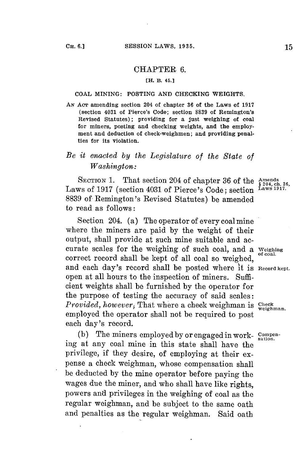## CHAPTER **6.**

## **[H. B. 45.]**

## **COAL MINING: POSTING AND CHECKING WEIGHTS.**

**AN AcT amending section 204 of chapter 36 of the Laws of 1917 (section 4031 of Pierce's Code; section 8839 of Remington's Revised Statutes); providing for a just weighing of coal for miners, posting and checking weights, and the employment and deduction of check-weighmen; and providing penalties for its violation.**

## *Be it enacted by the Legislature of the State of Washington:*

**SECTION 1.** That section 204 of chapter 36 of the  $\frac{\text{Amends}}{\frac{2}{9}204, \text{ch. 36}}$ Laws of 1917 (section 4031 of Pierce's Code; section <sup>Laws 1917</sup> **8839** of Remington's Revised Statutes) **be** amended to read as follows:

Section 204. (a) The operator of every coal mine where the miners are paid **by** the weight of their output, shall provide at such mine suitable and accurate scales for the weighing of such coal, and a **Weighing** correct record shall be kept of all coal so weighed, and each day's record shall be posted where it is **Record kept.** open at all hours to the inspection of miners. Sufficient weights shall be furnished **by** the operator for the purpose of testing the accuracy of said scales: *Provided, however, That where a check weighman is*  $\frac{C \text{heck}}{T}$ employed the operator shall not be required to post each day's record.

(b) The miners employed by or engaged in work- **Compen**ing at any coal mine in this state shall have the privilege, if they desire, of employing at their expense a check weighman, whose compensation shall be deducted **by** the mine operator before paying the wages due the miner, and who shall have like rights, powers and privileges in the weighing of coal as the regular weighman, and be subject to the same oath and penalties as the regular weighman. Said oath